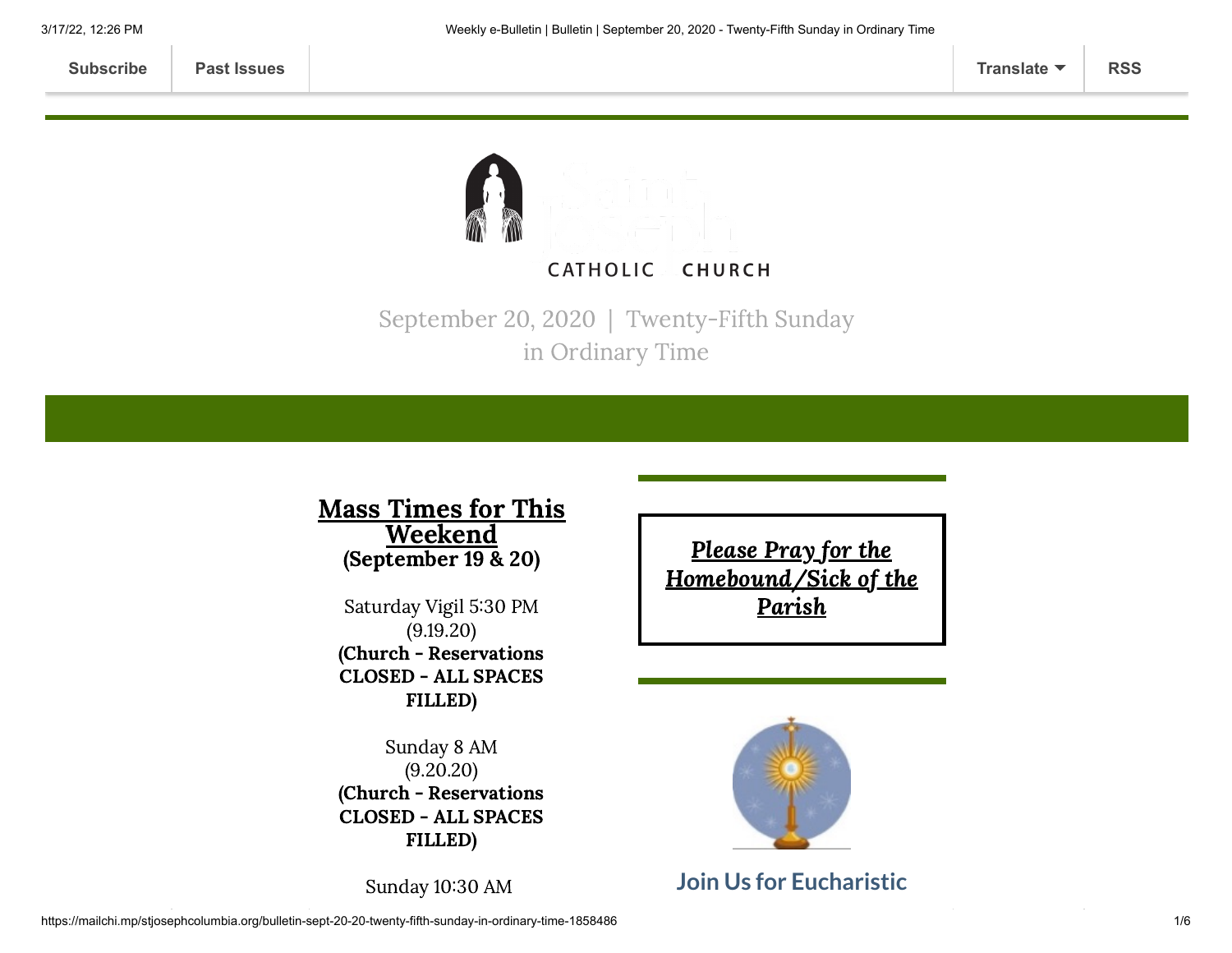

September 20, 2020 | Twenty-Fifth Sunday in Ordinary Time

#### Mass Times for This **Weekend** (September 19 & 20)

Saturday Vigil 5:30 PM (9.19.20) (Church - Reservations CLOSED - ALL SPACES FILLED)

Sunday 8 AM (9.20.20) (Church - Reservations CLOSED - ALL SPACES FILLED)

Sunday 10:30 AM

Please Pray for the [Homebound/Sick](https://www.stjosephcolumbia.org/pray-for-the-homebound-sick-of-pari) of the **Parish** 



#### **Join Us for Eucharistic**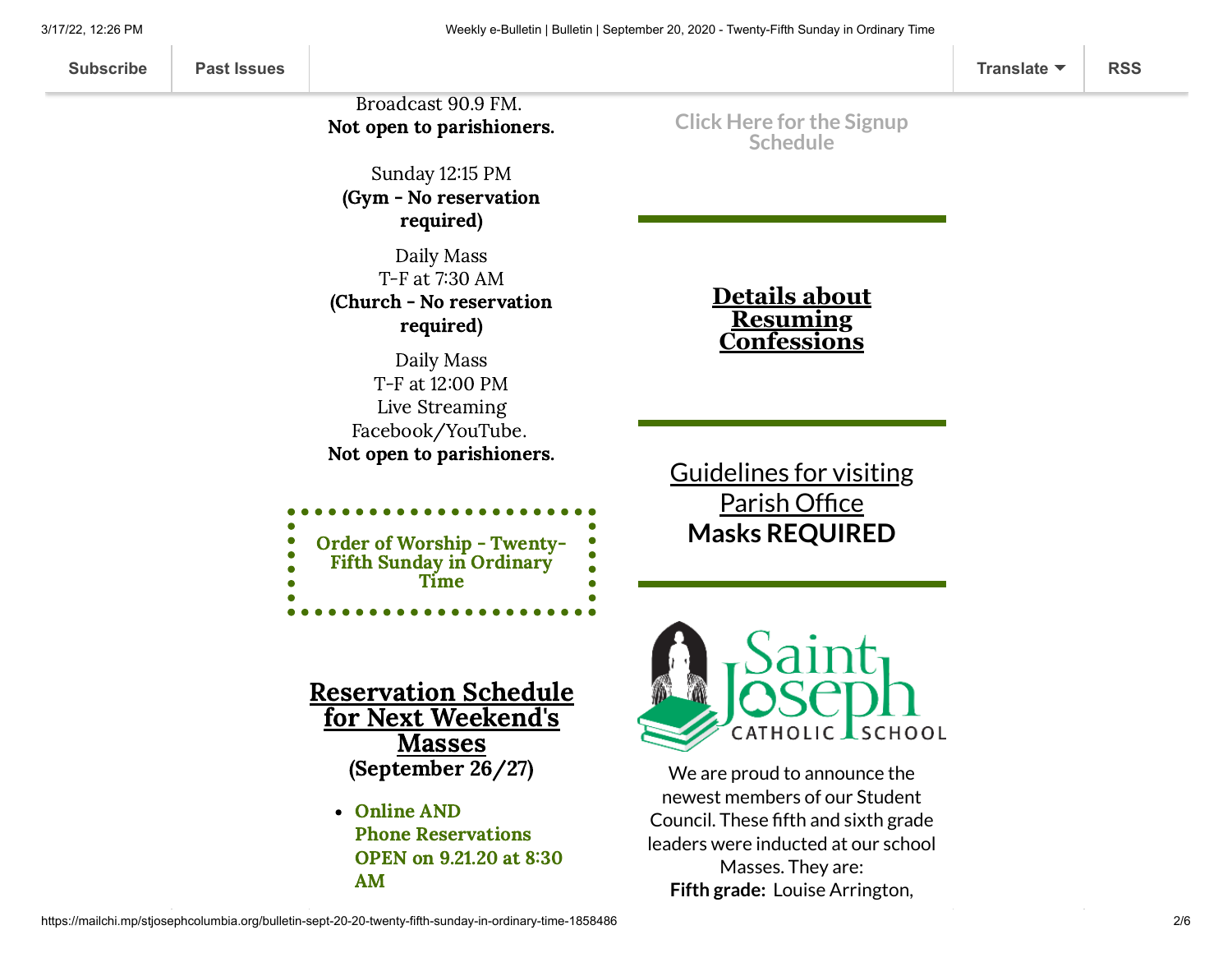#### Broadcast 90.9 FM. Not open to parishioners.

Sunday 12:15 PM (Gym - No reservation required)

Daily Mass T-F at 7:30 AM (Church - No reservation required)

Daily Mass T-F at 12:00 PM Live Streaming Facebook/YouTube. Not open to parishioners.

| <b>Order of Worship - Twenty-</b> |
|-----------------------------------|
|                                   |
| <b>Fifth Sunday in Ordinary</b>   |
| Time                              |
|                                   |
|                                   |

**Click Here for the Signup [Schedule](https://www.signupgenius.com/go/60b0c4faea822a7fa7-eucharistic)**

> **Details about Resuming [Confessions](https://www.stjosephcolumbia.org/confessions)**

Guidelines for visiting Parish Office **Masks [REQUIRED](https://www.stjosephcolumbia.org/church-and-parish-office-hours)**

Reservation Schedule for Next Weekend's Masses (September 26/27)

> Online AND Phone Reservations OPEN on 9.21.20 at 8:30 AM



We are proud to announce the newest members of our Student Council. These fifth and sixth grade leaders were inducted at our school Masses. They are: **Fifth grade:** Louise Arrington,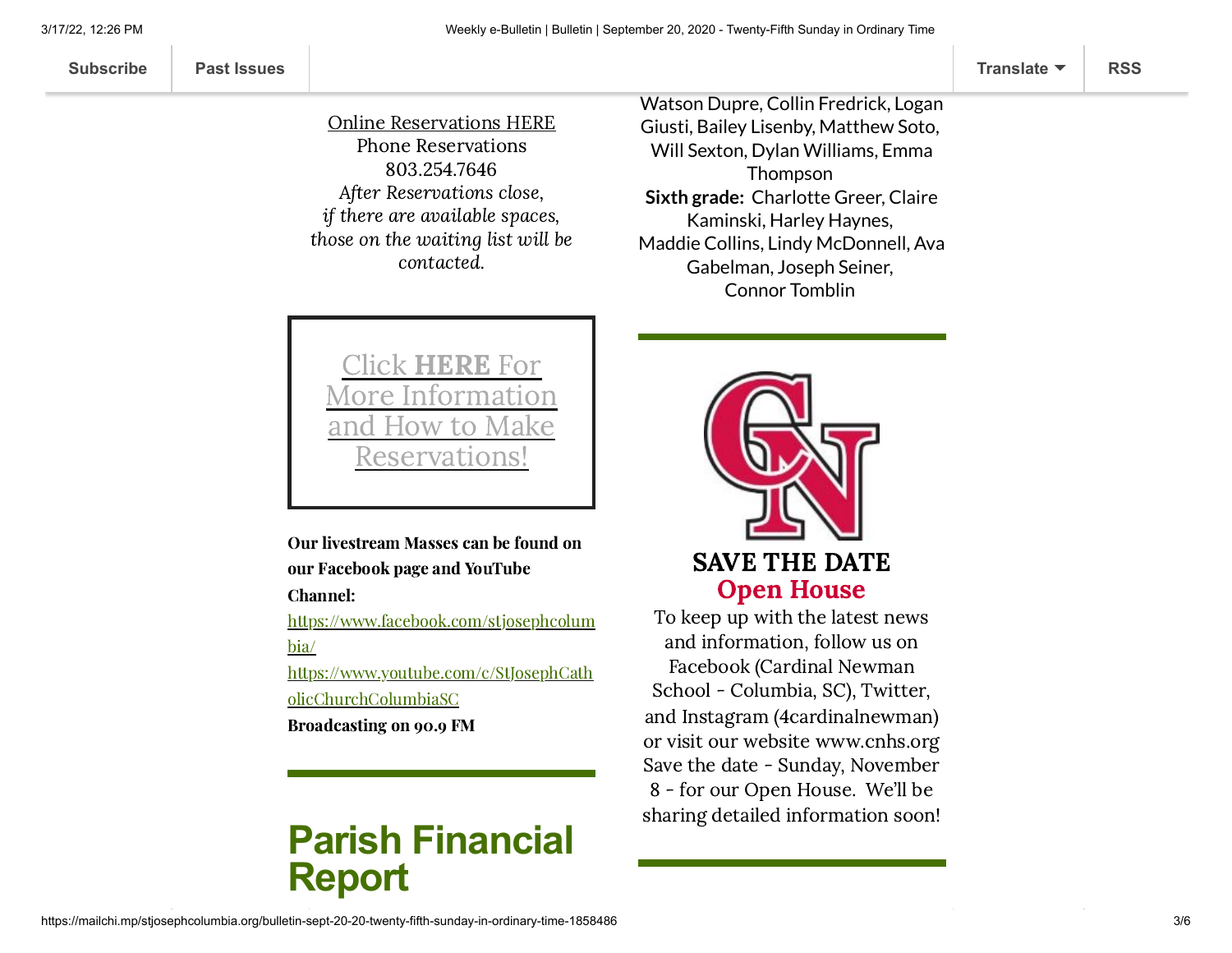#### Online [Reservations](https://www.stjosephcolumbia.org/reservating-your-space-for-masses) HERE Phone Reservations 803.254.7646 After Reservations close, if there are available spaces,

those on the waiting list will be contacted.

#### Watson Dupre, Collin Fredrick, Logan Giusti, Bailey Lisenby, Matthew Soto, Will Sexton, Dylan Williams, Emma Thompson **Sixth grade:** Charlotte Greer, Claire Kaminski, Harley Haynes, Maddie Collins, Lindy McDonnell, Ava Gabelman, Joseph Seiner, Connor Tomblin

Click HERE For More Information and How to Make eservations

Our livestream Masses can be found on our Facebook page and YouTube

Channel:

[https://www.facebook.com/stjosephcolum](https://www.facebook.com/stjosephcolumbia/) bia/

[https://www.youtube.com/c/StJosephCath](https://www.youtube.com/c/StJosephCatholicChurchColumbiaSC) olicChurchColumbiaSC

Broadcasting on 90.9 FM

## **Parish Financial Report**



To keep up with the latest news and information, follow us on Facebook (Cardinal Newman School - Columbia, SC), Twitter, and Instagram (4cardinalnewman) or visit our website [www.cnhs.org](http://www.cnhs.org/) Save the date - Sunday, November 8 - for our Open House. We'll be sharing detailed information soon!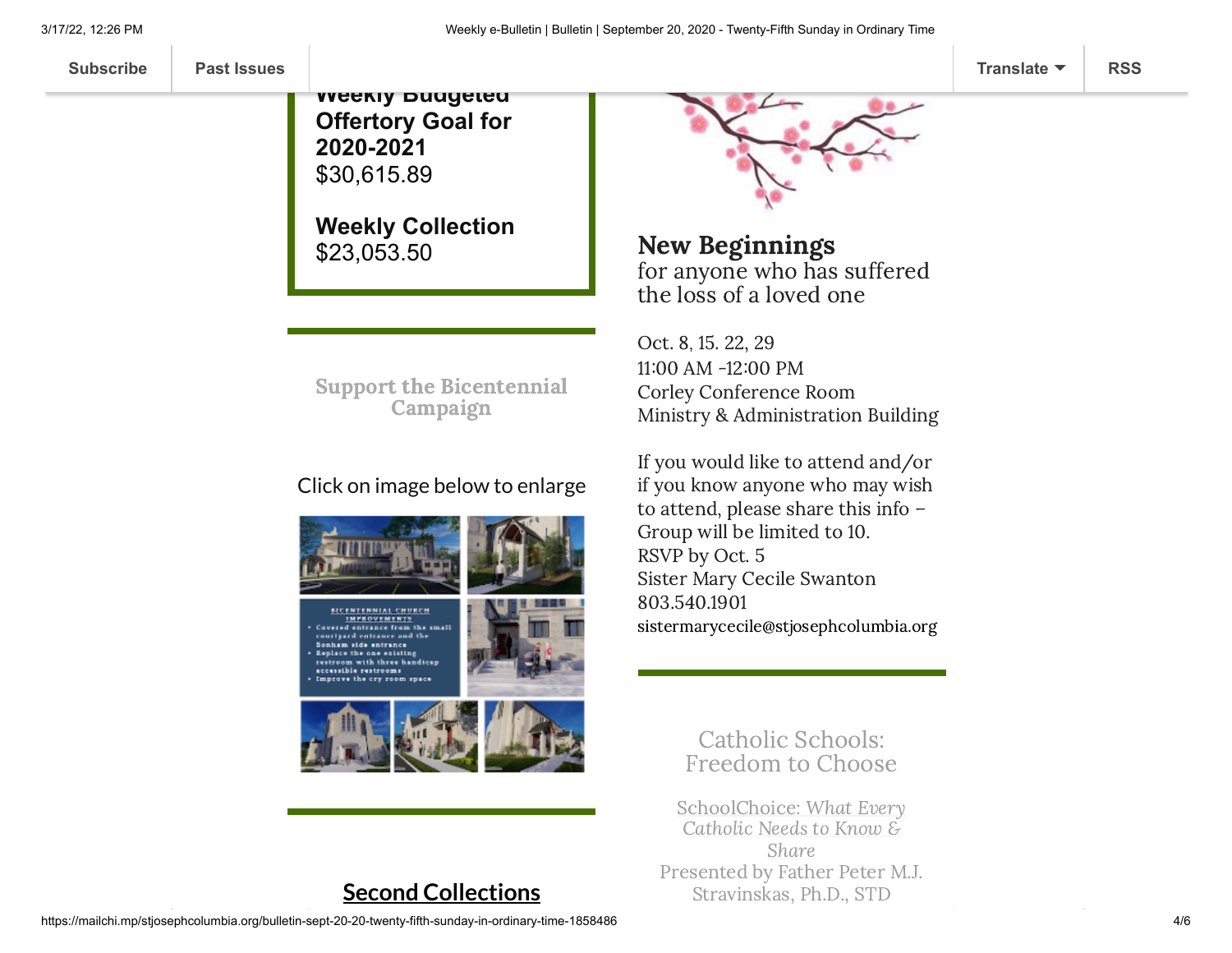**[Subscribe](http://eepurl.com/ded6Lz) [Past Issues](https://us9.campaign-archive.com/home/?u=7399f6b35c8ab775fb1714c3d&id=770b4a80d3) [Translate](javascript:;) [RSS](https://us9.campaign-archive.com/feed?u=7399f6b35c8ab775fb1714c3d&id=770b4a80d3)**

**Weekly Budgeted Offertory Goal for 2020-2021** \$30,615.89

**Weekly Collection** \$23,053.50

Support the [Bicentennial](https://www.stjosephcolumbia.org/bicentennial-campaign) Campaign

#### Click on image below to enlarge









#### **Second Collections**



New Beginnings for anyone who has suffered the loss of a loved one

Oct. 8, 15. 22, 29 11:00 AM -12:00 PM Corley Conference Room Ministry & Administration Building

If you would like to attend and/or if you know anyone who may wish to attend, please share this info – Group will be limited to 10. RSVP by Oct. 5 Sister Mary Cecile Swanton 803.540.1901 [sistermarycecile@stjosephcolumbia.org](mailto:sistermarycecile@stjosephcolumbia.org)

> Catholic Schools: Freedom to Choose

SchoolChoice: What Every Catholic Needs to Know & Share Presented by Father Peter M.J. Stravinskas, Ph.D., STD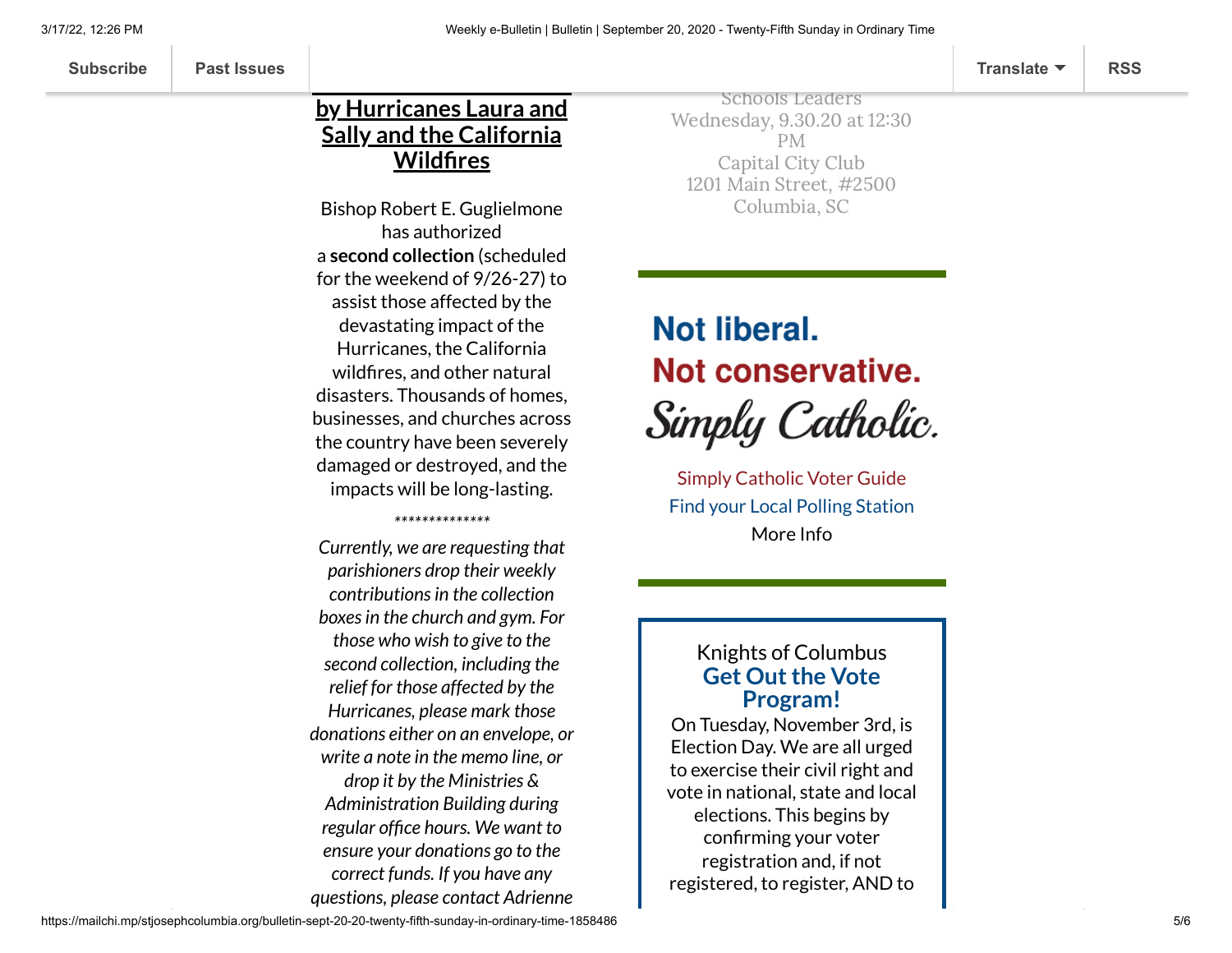#### **by Hurricanes Laura and Sally and the California Wildfires**

**Relief for Those Affected**

Bishop Robert E. Guglielmone has authorized a **second collection** (scheduled for the weekend of 9/26-27) to assist those affected by the devastating impact of the Hurricanes, the California wildfires, and other natural disasters. Thousands of homes, businesses, and churches across the country have been severely damaged or destroyed, and the impacts will be long-lasting.

*\*\*\*\*\*\*\*\*\*\*\*\*\*\**

*Currently, we are requesting that parishioners drop their weekly contributionsin the collection boxesin the church and gym. For those who wish to give to the second collection, including the relief for those affected by the Hurricanes, please mark those donations either on an envelope, or write a note in the memo line, or drop it by the Ministries & Administration Building during regular office hours. We want to ensure your donations go to the correct funds. If you have any questions, please contact Adrienne*

Schools Leaders Wednesday, 9.30.20 at 12:30 PM Capital City Club 1201 Main Street, #2500 Columbia, SC

# **Not liberal.** Not conservative. Simply Catholic.

Simply [Catholic Voter](http://charlestondiocese.org/wp-content/uploads/2018/07/South-Carolina-Catholic-Conference-Simply-Catholic-Voter-Guide.pdf) Guide [Find your](https://info.scvotes.sc.gov/eng/voterinquiry/VoterInformationRequest.aspx?PageMode=VoterInfo) Local Polling Station [More](https://charlestondiocese.org/south-carolina-catholic-conference/your-vote/) Info

#### **Get Out the Vote Program!** Knights of Columbus

On Tuesday, November 3rd, is Election Day. We are all urged to exercise their civil right and vote in national, state and local elections. This begins by confirming your voter registration and, if not registered, to register, AND to